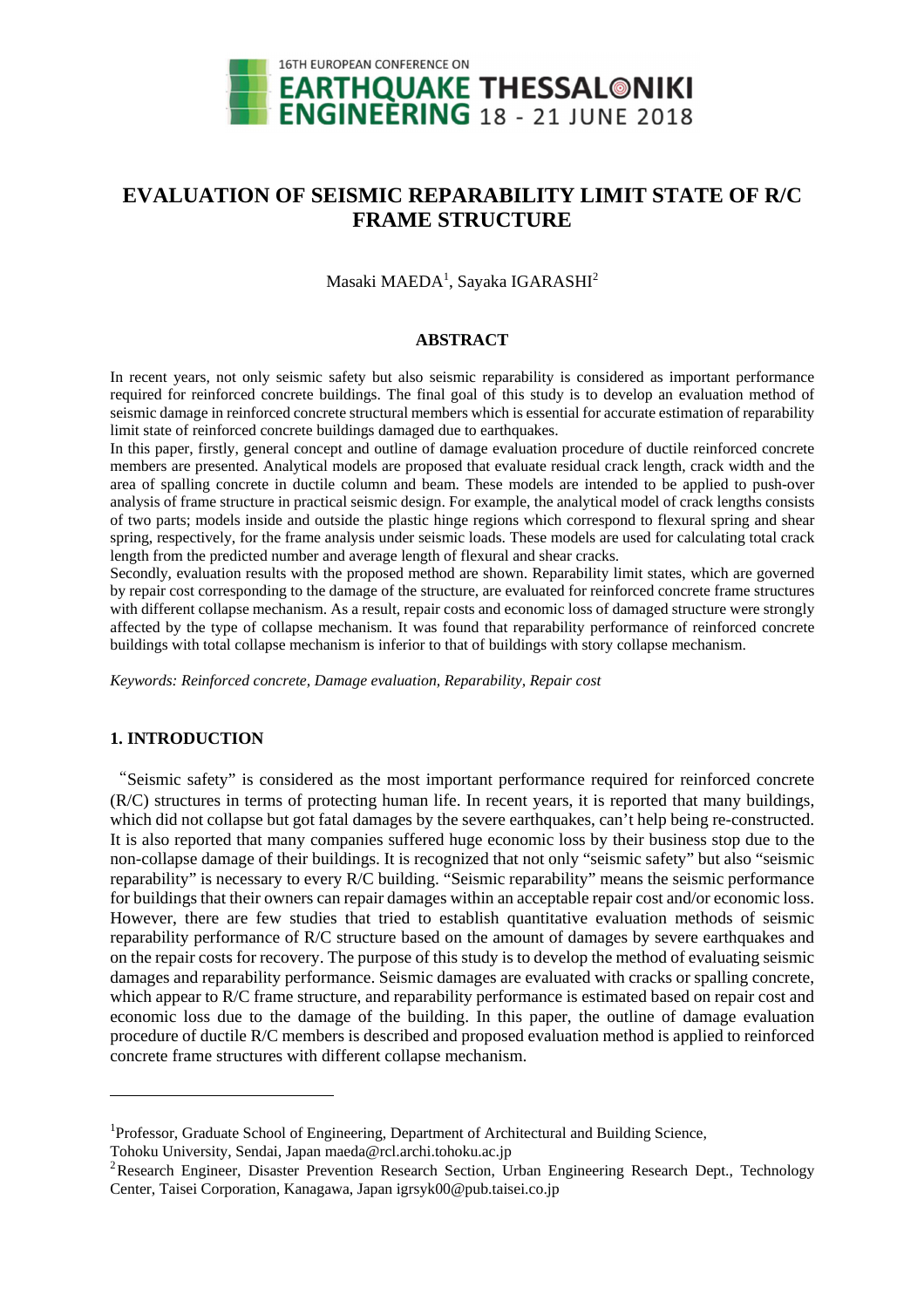

# **EVALUATION OF SEISMIC REPARABILITY LIMIT STATE OF R/C FRAME STRUCTURE**

Masaki MAEDA $^1$ , Sayaka IGARASHI $^2$ 

#### **ABSTRACT**

In recent years, not only seismic safety but also seismic reparability is considered as important performance required for reinforced concrete buildings. The final goal of this study is to develop an evaluation method of seismic damage in reinforced concrete structural members which is essential for accurate estimation of reparability limit state of reinforced concrete buildings damaged due to earthquakes.

In this paper, firstly, general concept and outline of damage evaluation procedure of ductile reinforced concrete members are presented. Analytical models are proposed that evaluate residual crack length, crack width and the area of spalling concrete in ductile column and beam. These models are intended to be applied to push-over analysis of frame structure in practical seismic design. For example, the analytical model of crack lengths consists of two parts; models inside and outside the plastic hinge regions which correspond to flexural spring and shear spring, respectively, for the frame analysis under seismic loads. These models are used for calculating total crack length from the predicted number and average length of flexural and shear cracks.

Secondly, evaluation results with the proposed method are shown. Reparability limit states, which are governed by repair cost corresponding to the damage of the structure, are evaluated for reinforced concrete frame structures with different collapse mechanism. As a result, repair costs and economic loss of damaged structure were strongly affected by the type of collapse mechanism. It was found that reparability performance of reinforced concrete buildings with total collapse mechanism is inferior to that of buildings with story collapse mechanism.

*Keywords: Reinforced concrete, Damage evaluation, Reparability, Repair cost* 

# **1. INTRODUCTION**

l

"Seismic safety" is considered as the most important performance required for reinforced concrete (R/C) structures in terms of protecting human life. In recent years, it is reported that many buildings, which did not collapse but got fatal damages by the severe earthquakes, can't help being re-constructed. It is also reported that many companies suffered huge economic loss by their business stop due to the non-collapse damage of their buildings. It is recognized that not only "seismic safety" but also "seismic reparability" is necessary to every R/C building. "Seismic reparability" means the seismic performance for buildings that their owners can repair damages within an acceptable repair cost and/or economic loss. However, there are few studies that tried to establish quantitative evaluation methods of seismic reparability performance of R/C structure based on the amount of damages by severe earthquakes and on the repair costs for recovery. The purpose of this study is to develop the method of evaluating seismic damages and reparability performance. Seismic damages are evaluated with cracks or spalling concrete, which appear to R/C frame structure, and reparability performance is estimated based on repair cost and economic loss due to the damage of the building. In this paper, the outline of damage evaluation procedure of ductile R/C members is described and proposed evaluation method is applied to reinforced concrete frame structures with different collapse mechanism.

<sup>&</sup>lt;sup>1</sup>Professor, Graduate School of Engineering, Department of Architectural and Building Science,

Tohoku University, Sendai, Japan maeda@rcl.archi.tohoku.ac.jp

<sup>&</sup>lt;sup>2</sup>Research Engineer, Disaster Prevention Research Section, Urban Engineering Research Dept., Technology Center, Taisei Corporation, Kanagawa, Japan igrsyk00@pub.taisei.co.jp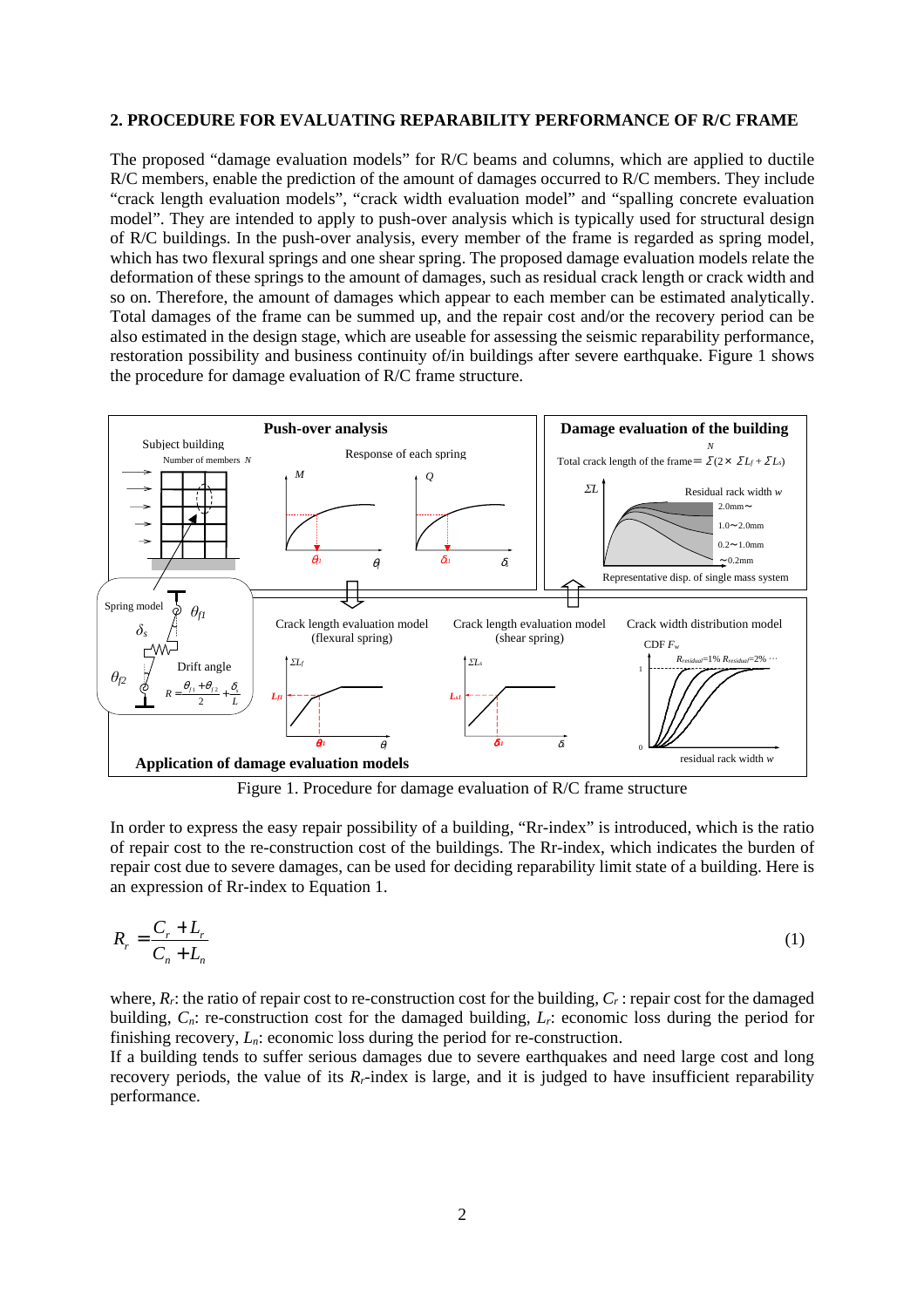#### **2. PROCEDURE FOR EVALUATING REPARABILITY PERFORMANCE OF R/C FRAME**

The proposed "damage evaluation models" for R/C beams and columns, which are applied to ductile R/C members, enable the prediction of the amount of damages occurred to R/C members. They include "crack length evaluation models", "crack width evaluation model" and "spalling concrete evaluation model". They are intended to apply to push-over analysis which is typically used for structural design of R/C buildings. In the push-over analysis, every member of the frame is regarded as spring model, which has two flexural springs and one shear spring. The proposed damage evaluation models relate the deformation of these springs to the amount of damages, such as residual crack length or crack width and so on. Therefore, the amount of damages which appear to each member can be estimated analytically. Total damages of the frame can be summed up, and the repair cost and/or the recovery period can be also estimated in the design stage, which are useable for assessing the seismic reparability performance, restoration possibility and business continuity of/in buildings after severe earthquake. Figure 1 shows the procedure for damage evaluation of R/C frame structure.



Figure 1. Procedure for damage evaluation of R/C frame structure

In order to express the easy repair possibility of a building, "Rr-index" is introduced, which is the ratio of repair cost to the re-construction cost of the buildings. The Rr-index, which indicates the burden of repair cost due to severe damages, can be used for deciding reparability limit state of a building. Here is an expression of Rr-index to Equation 1.

$$
R_r = \frac{C_r + L_r}{C_n + L_n} \tag{1}
$$

where,  $R_f$ : the ratio of repair cost to re-construction cost for the building,  $C_f$ : repair cost for the damaged building, *Cn*: re-construction cost for the damaged building, *Lr*: economic loss during the period for finishing recovery, *Ln*: economic loss during the period for re-construction.

If a building tends to suffer serious damages due to severe earthquakes and need large cost and long recovery periods, the value of its  $R_r$ -index is large, and it is judged to have insufficient reparability performance.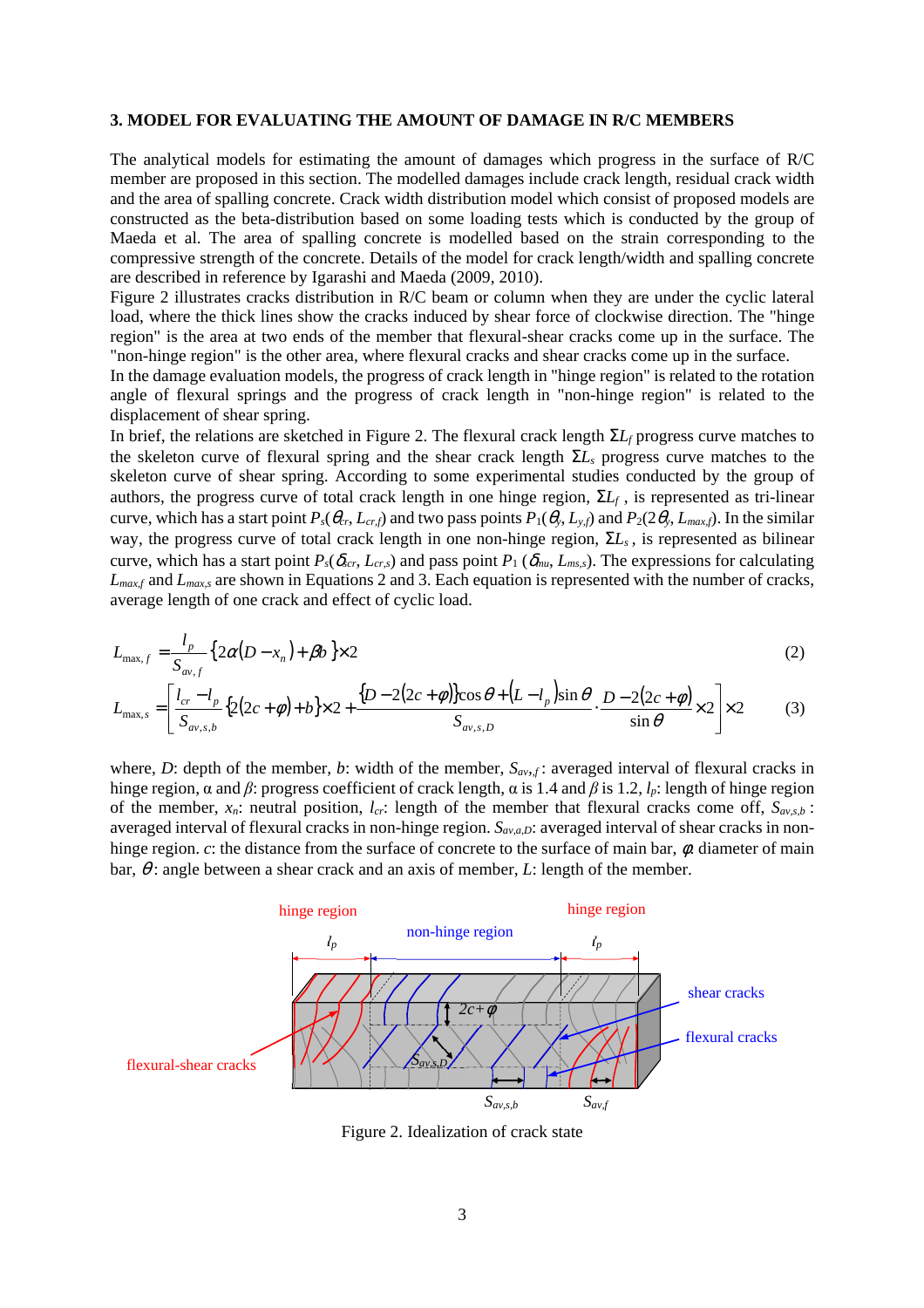#### **3. MODEL FOR EVALUATING THE AMOUNT OF DAMAGE IN R/C MEMBERS**

The analytical models for estimating the amount of damages which progress in the surface of R/C member are proposed in this section. The modelled damages include crack length, residual crack width and the area of spalling concrete. Crack width distribution model which consist of proposed models are constructed as the beta-distribution based on some loading tests which is conducted by the group of Maeda et al. The area of spalling concrete is modelled based on the strain corresponding to the compressive strength of the concrete. Details of the model for crack length/width and spalling concrete are described in reference by Igarashi and Maeda (2009, 2010).

Figure 2 illustrates cracks distribution in R/C beam or column when they are under the cyclic lateral load, where the thick lines show the cracks induced by shear force of clockwise direction. The "hinge region" is the area at two ends of the member that flexural-shear cracks come up in the surface. The "non-hinge region" is the other area, where flexural cracks and shear cracks come up in the surface.

In the damage evaluation models, the progress of crack length in "hinge region" is related to the rotation angle of flexural springs and the progress of crack length in "non-hinge region" is related to the displacement of shear spring.

In brief, the relations are sketched in Figure 2. The flexural crack length Σ*Lf* progress curve matches to the skeleton curve of flexural spring and the shear crack length Σ*Ls* progress curve matches to the skeleton curve of shear spring. According to some experimental studies conducted by the group of authors, the progress curve of total crack length in one hinge region,  $\Sigma L_f$ , is represented as tri-linear curve, which has a start point  $P_s(\theta_{cr}, L_{crf})$  and two pass points  $P_1(\theta_v, L_{v,f})$  and  $P_2(2\theta_v, L_{maxf})$ . In the similar way, the progress curve of total crack length in one non-hinge region, Σ*Ls* , is represented as bilinear curve, which has a start point  $P_s(\delta_{scr}, L_{cr,s})$  and pass point  $P_1(\delta_{mu}, L_{ms,s})$ . The expressions for calculating *Lmax,f* and *Lmax,s* are shown in Equations 2 and 3. Each equation is represented with the number of cracks, average length of one crack and effect of cyclic load.

$$
L_{\max,f} = \frac{l_p}{S_{av,f}} \left\{ 2\alpha (D - x_n) + \beta b \right\} \times 2
$$
\n
$$
L_{\max,s} = \left[ \frac{l_{cr} - l_p}{S_{av,s,b}} \left\{ 2(2c + \phi) + b \right\} \times 2 + \frac{\left\{ D - 2(2c + \phi) \right\} \cos \theta + \left( L - l_p \right) \sin \theta}{S_{av,s,D}} \cdot \frac{D - 2(2c + \phi)}{\sin \theta} \times 2 \right] \times 2
$$
\n(3)

J

 $, s, b$ 

L

*bsav*

where, *D*: depth of the member, *b*: width of the member,  $S_{av,f}$ : averaged interval of flexural cracks in hinge region, α and *β*: progress coefficient of crack length, α is 1.4 and *β* is 1.2, *lp*: length of hinge region of the member,  $x_n$ : neutral position,  $l_{cr}$ : length of the member that flexural cracks come off,  $S_{av,s,b}$ : averaged interval of flexural cracks in non-hinge region. *Sav,a,D*: averaged interval of shear cracks in nonhinge region. *c*: the distance from the surface of concrete to the surface of main bar,  $\phi$ : diameter of main bar,  $\theta$ : angle between a shear crack and an axis of member, *L*: length of the member.



Figure 2. Idealization of crack state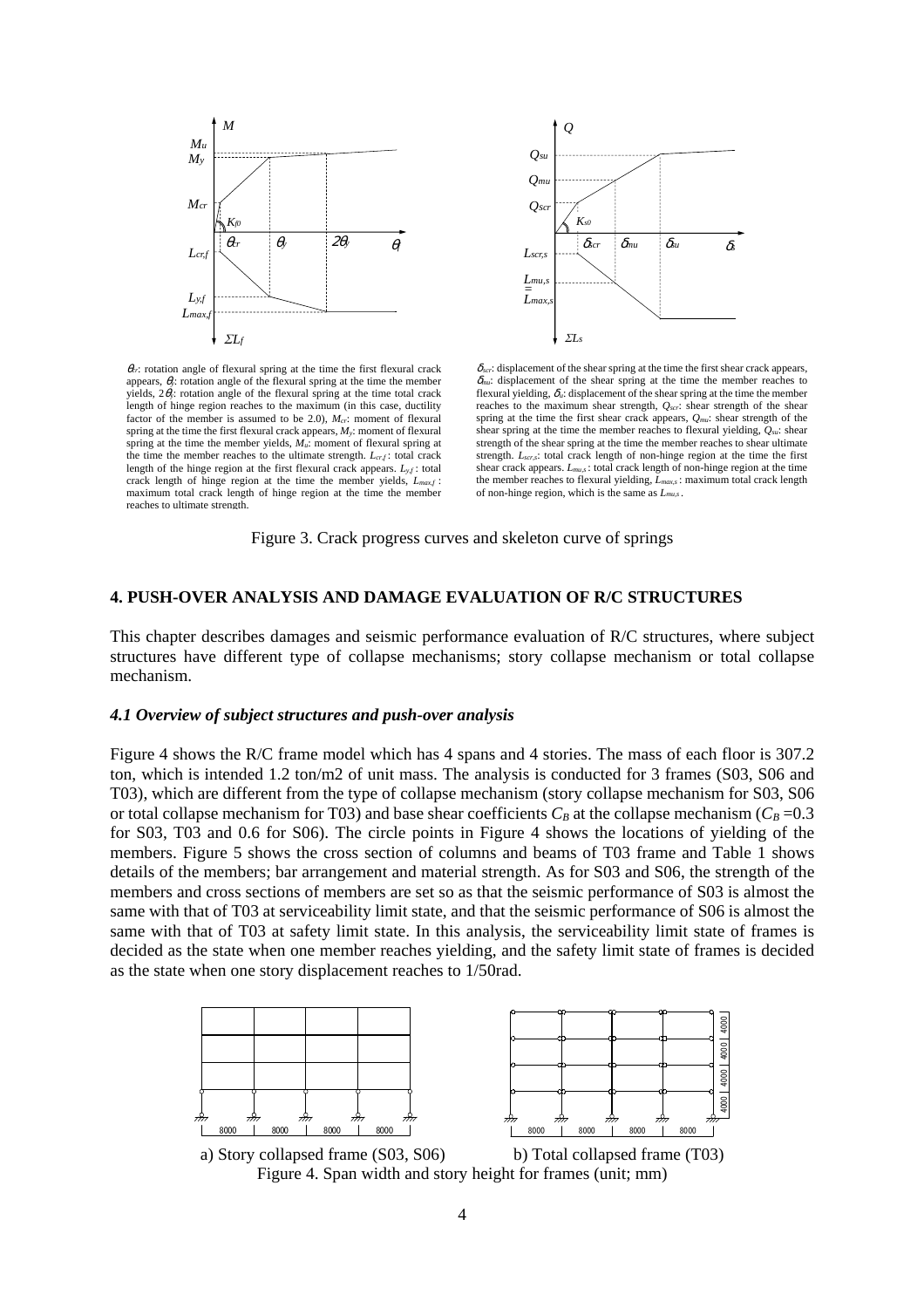



 $\theta_{cr}$ : rotation angle of flexural spring at the time the first flexural crack appears,  $\theta$ <sub>*i*</sub>: rotation angle of the flexural spring at the time the member yields,  $2\theta_{\rm v}$ : rotation angle of the flexural spring at the time total crack length of hinge region reaches to the maximum (in this case, ductility factor of the member is assumed to be 2.0), *Mcr*: moment of flexural spring at the time the first flexural crack appears, *My*: moment of flexural spring at the time the member yields, *Mu*: moment of flexural spring at the time the member reaches to the ultimate strength. *Lcr,f* : total crack length of the hinge region at the first flexural crack appears.  $L_{y,f}$ : total crack length of hinge region at the time the member yields, *Lmax,f* : maximum total crack length of hinge region at the time the member reaches to ultimate strength.

 $\delta_{\text{scr}}$ : displacement of the shear spring at the time the first shear crack appears,  $\delta_{mu}$ : displacement of the shear spring at the time the member reaches to flexural vielding,  $\delta_u$ : displacement of the shear spring at the time the member reaches to the maximum shear strength, *Qscr*: shear strength of the shear spring at the time the first shear crack appears, *Qmu*: shear strength of the shear spring at the time the member reaches to flexural yielding, *Qsu*: shear strength of the shear spring at the time the member reaches to shear ultimate strength. *Lscr,s*: total crack length of non-hinge region at the time the first shear crack appears. *Lmu,s* : total crack length of non-hinge region at the time the member reaches to flexural yielding, *Lmax,s* : maximum total crack length of non-hinge region, which is the same as *Lmu,s* .

Figure 3. Crack progress curves and skeleton curve of springs

#### **4. PUSH-OVER ANALYSIS AND DAMAGE EVALUATION OF R/C STRUCTURES**

This chapter describes damages and seismic performance evaluation of R/C structures, where subject structures have different type of collapse mechanisms; story collapse mechanism or total collapse mechanism.

#### *4.1 Overview of subject structures and push-over analysis*

Figure 4 shows the R/C frame model which has 4 spans and 4 stories. The mass of each floor is 307.2 ton, which is intended 1.2 ton/m2 of unit mass. The analysis is conducted for 3 frames (S03, S06 and T03), which are different from the type of collapse mechanism (story collapse mechanism for S03, S06 or total collapse mechanism for T03) and base shear coefficients  $C_B$  at the collapse mechanism ( $C_B$  =0.3 for S03, T03 and 0.6 for S06). The circle points in Figure 4 shows the locations of yielding of the members. Figure 5 shows the cross section of columns and beams of T03 frame and Table 1 shows details of the members; bar arrangement and material strength. As for S03 and S06, the strength of the members and cross sections of members are set so as that the seismic performance of S03 is almost the same with that of T03 at serviceability limit state, and that the seismic performance of S06 is almost the same with that of T03 at safety limit state. In this analysis, the serviceability limit state of frames is decided as the state when one member reaches yielding, and the safety limit state of frames is decided as the state when one story displacement reaches to 1/50rad.





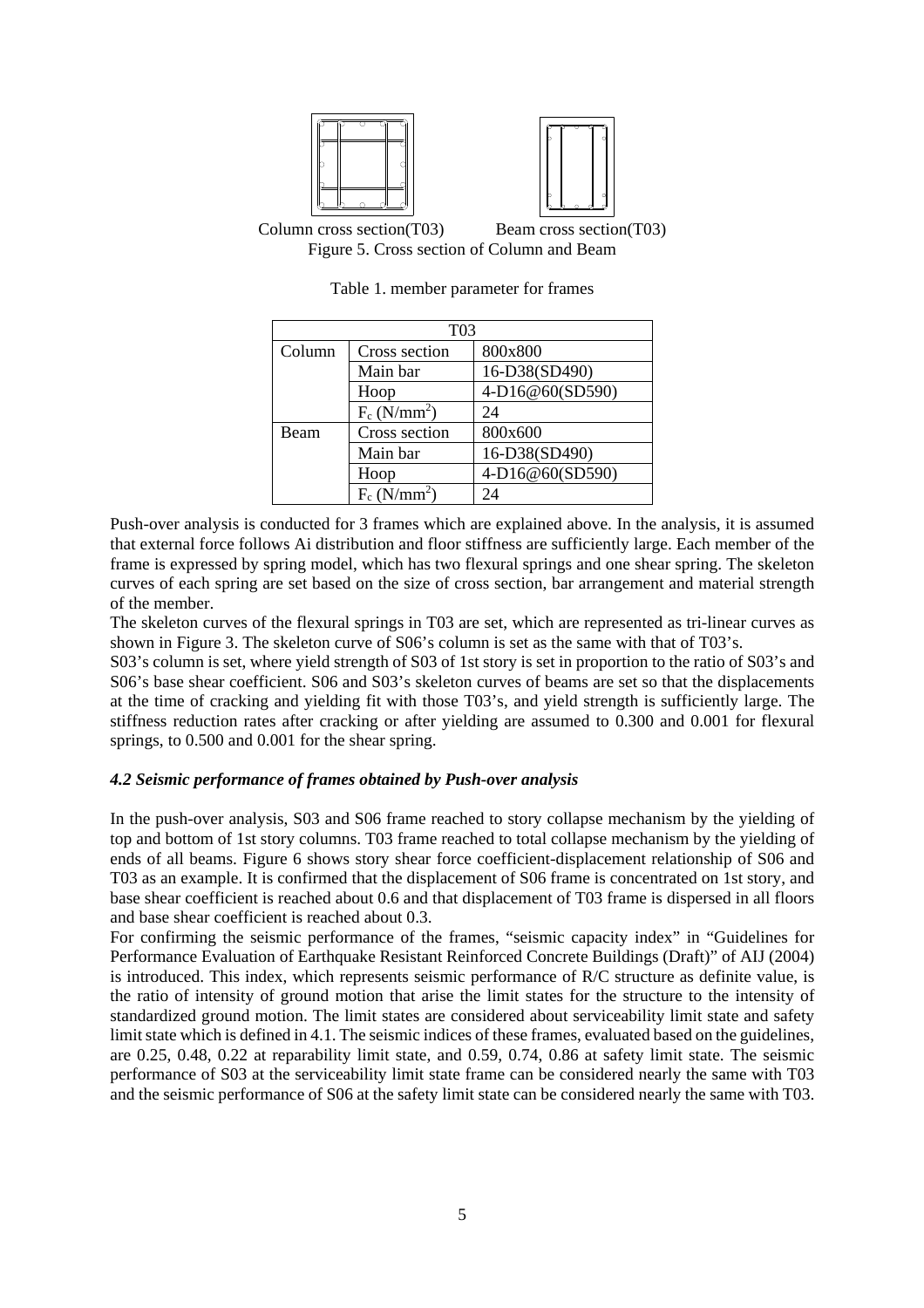





| T <sub>03</sub> |                            |                 |  |  |  |  |  |  |
|-----------------|----------------------------|-----------------|--|--|--|--|--|--|
| Column          | Cross section              | 800x800         |  |  |  |  |  |  |
|                 | Main bar                   | 16-D38(SD490)   |  |  |  |  |  |  |
|                 | Hoop                       | 4-D16@60(SD590) |  |  |  |  |  |  |
|                 | $F_c$ (N/mm <sup>2</sup> ) | 24              |  |  |  |  |  |  |
| Beam            | Cross section              | 800x600         |  |  |  |  |  |  |
|                 | Main bar                   | 16-D38(SD490)   |  |  |  |  |  |  |
|                 | Hoop                       | 4-D16@60(SD590) |  |  |  |  |  |  |
|                 | $F_c$ (N/mm <sup>2</sup> ) | 24              |  |  |  |  |  |  |

Table 1. member parameter for frames

Push-over analysis is conducted for 3 frames which are explained above. In the analysis, it is assumed that external force follows Ai distribution and floor stiffness are sufficiently large. Each member of the frame is expressed by spring model, which has two flexural springs and one shear spring. The skeleton curves of each spring are set based on the size of cross section, bar arrangement and material strength of the member.

The skeleton curves of the flexural springs in T03 are set, which are represented as tri-linear curves as shown in Figure 3. The skeleton curve of S06's column is set as the same with that of T03's.

S03's column is set, where yield strength of S03 of 1st story is set in proportion to the ratio of S03's and S06's base shear coefficient. S06 and S03's skeleton curves of beams are set so that the displacements at the time of cracking and yielding fit with those T03's, and yield strength is sufficiently large. The stiffness reduction rates after cracking or after yielding are assumed to 0.300 and 0.001 for flexural springs, to 0.500 and 0.001 for the shear spring.

# *4.2 Seismic performance of frames obtained by Push-over analysis*

In the push-over analysis, S03 and S06 frame reached to story collapse mechanism by the yielding of top and bottom of 1st story columns. T03 frame reached to total collapse mechanism by the yielding of ends of all beams. Figure 6 shows story shear force coefficient-displacement relationship of S06 and T03 as an example. It is confirmed that the displacement of S06 frame is concentrated on 1st story, and base shear coefficient is reached about 0.6 and that displacement of T03 frame is dispersed in all floors and base shear coefficient is reached about 0.3.

For confirming the seismic performance of the frames, "seismic capacity index" in "Guidelines for Performance Evaluation of Earthquake Resistant Reinforced Concrete Buildings (Draft)" of AIJ (2004) is introduced. This index, which represents seismic performance of R/C structure as definite value, is the ratio of intensity of ground motion that arise the limit states for the structure to the intensity of standardized ground motion. The limit states are considered about serviceability limit state and safety limit state which is defined in 4.1. The seismic indices of these frames, evaluated based on the guidelines, are 0.25, 0.48, 0.22 at reparability limit state, and 0.59, 0.74, 0.86 at safety limit state. The seismic performance of S03 at the serviceability limit state frame can be considered nearly the same with T03 and the seismic performance of S06 at the safety limit state can be considered nearly the same with T03.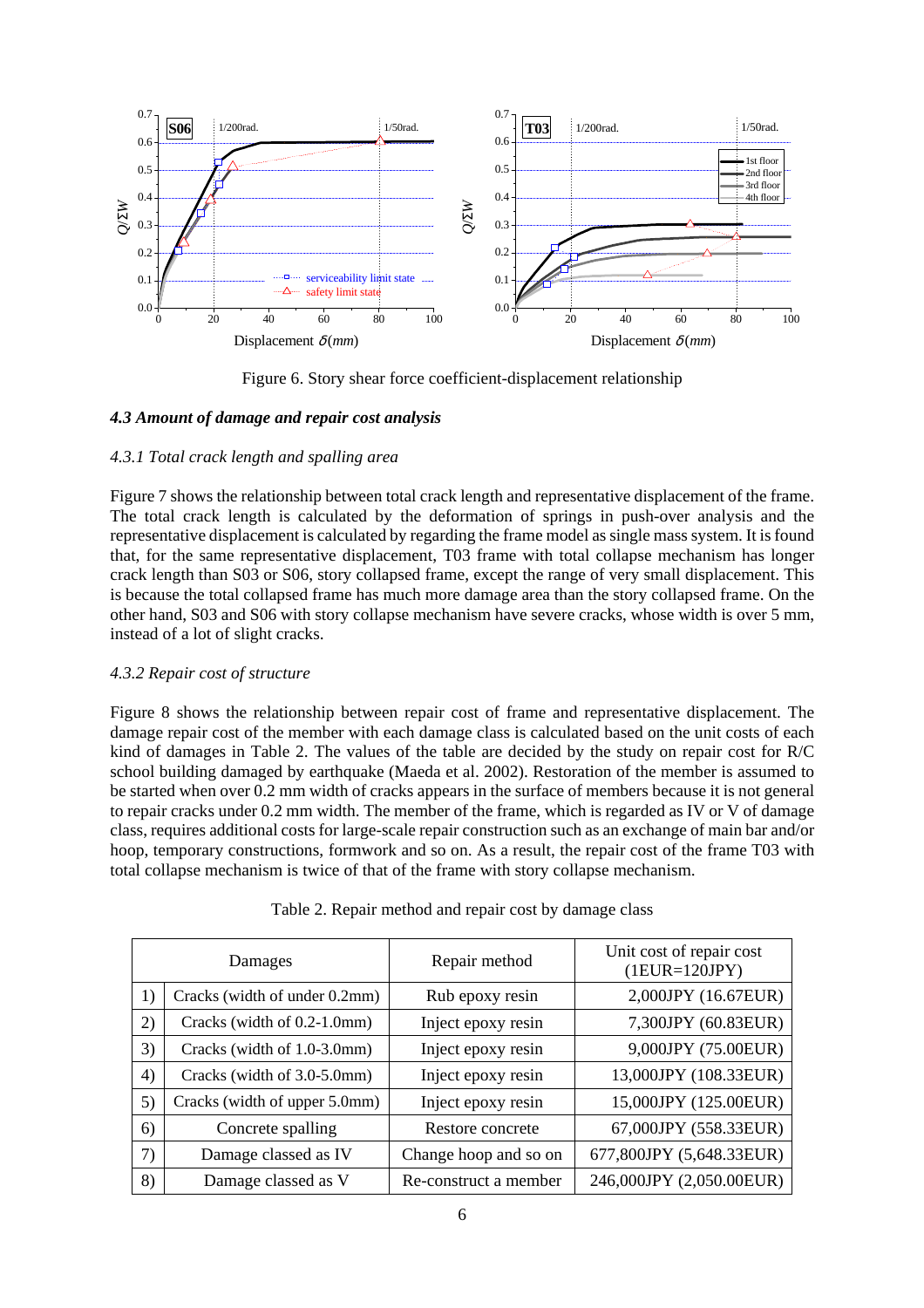

Figure 6. Story shear force coefficient-displacement relationship

# *4.3 Amount of damage and repair cost analysis*

# *4.3.1 Total crack length and spalling area*

Figure 7 shows the relationship between total crack length and representative displacement of the frame. The total crack length is calculated by the deformation of springs in push-over analysis and the representative displacement is calculated by regarding the frame model as single mass system. It is found that, for the same representative displacement, T03 frame with total collapse mechanism has longer crack length than S03 or S06, story collapsed frame, except the range of very small displacement. This is because the total collapsed frame has much more damage area than the story collapsed frame. On the other hand, S03 and S06 with story collapse mechanism have severe cracks, whose width is over 5 mm, instead of a lot of slight cracks.

# *4.3.2 Repair cost of structure*

Figure 8 shows the relationship between repair cost of frame and representative displacement. The damage repair cost of the member with each damage class is calculated based on the unit costs of each kind of damages in Table 2. The values of the table are decided by the study on repair cost for R/C school building damaged by earthquake (Maeda et al. 2002). Restoration of the member is assumed to be started when over 0.2 mm width of cracks appears in the surface of members because it is not general to repair cracks under 0.2 mm width. The member of the frame, which is regarded as IV or V of damage class, requires additional costs for large-scale repair construction such as an exchange of main bar and/or hoop, temporary constructions, formwork and so on. As a result, the repair cost of the frame T03 with total collapse mechanism is twice of that of the frame with story collapse mechanism.

| Damages |                               | Repair method         | Unit cost of repair cost<br>$(1EUR=120JPY)$ |  |  |
|---------|-------------------------------|-----------------------|---------------------------------------------|--|--|
| 1)      | Cracks (width of under 0.2mm) | Rub epoxy resin       | 2,000JPY (16.67EUR)                         |  |  |
| 2)      | Cracks (width of 0.2-1.0mm)   | Inject epoxy resin    | 7,300JPY (60.83EUR)                         |  |  |
| 3)      | Cracks (width of 1.0-3.0mm)   | Inject epoxy resin    | 9,000JPY (75.00EUR)                         |  |  |
| 4)      | Cracks (width of 3.0-5.0mm)   | Inject epoxy resin    | 13,000JPY (108.33EUR)                       |  |  |
| 5)      | Cracks (width of upper 5.0mm) | Inject epoxy resin    | 15,000JPY (125.00EUR)                       |  |  |
| 6)      | Concrete spalling             | Restore concrete      | 67,000JPY (558.33EUR)                       |  |  |
| 7)      | Damage classed as IV          | Change hoop and so on | 677,800JPY (5,648.33EUR)                    |  |  |
| 8)      | Damage classed as V           | Re-construct a member | 246,000JPY (2,050.00EUR)                    |  |  |

|  |  |  | Table 2. Repair method and repair cost by damage class |  |
|--|--|--|--------------------------------------------------------|--|
|  |  |  |                                                        |  |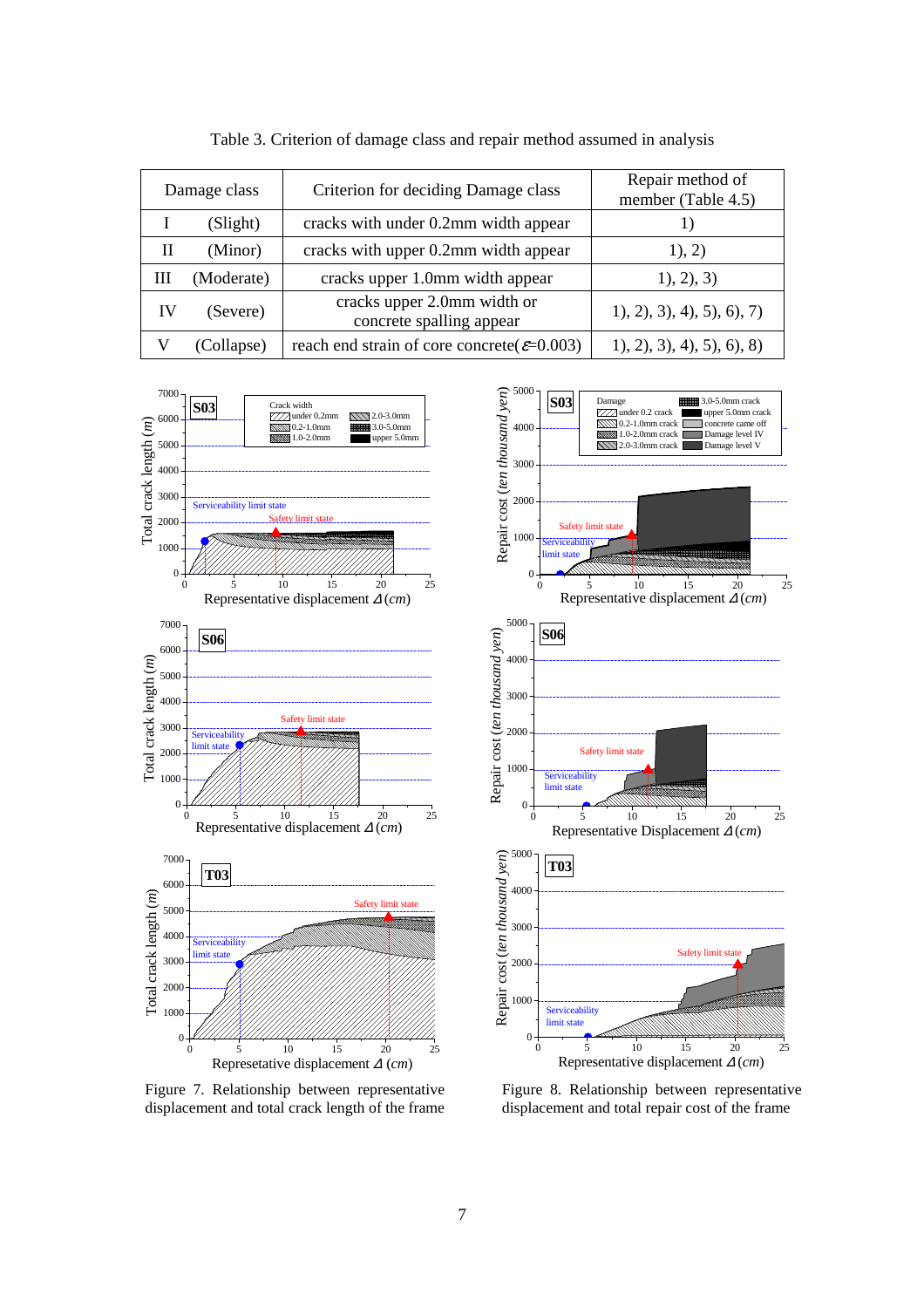| Damage class |            | Criterion for deciding Damage class                      | Repair method of<br>member (Table 4.5) |  |  |
|--------------|------------|----------------------------------------------------------|----------------------------------------|--|--|
|              | (Slight)   | cracks with under 0.2mm width appear                     |                                        |  |  |
| Н            | (Minor)    | cracks with upper 0.2mm width appear                     | 1), 2)                                 |  |  |
| Ш            | (Moderate) | cracks upper 1.0mm width appear                          | 1), 2), 3)                             |  |  |
| IV           | (Severe)   | cracks upper 2.0mm width or<br>concrete spalling appear  | 1, 2, 3, 4, 5, 6, 7                    |  |  |
|              | (Collapse) | reach end strain of core concrete( $\varepsilon$ =0.003) | 1, 2, 3, 4, 5, 6, 8                    |  |  |

Table 3. Criterion of damage class and repair method assumed in analysis



Figure 7. Relationship between representative displacement and total crack length of the frame



Figure 8. Relationship between representative displacement and total repair cost of the frame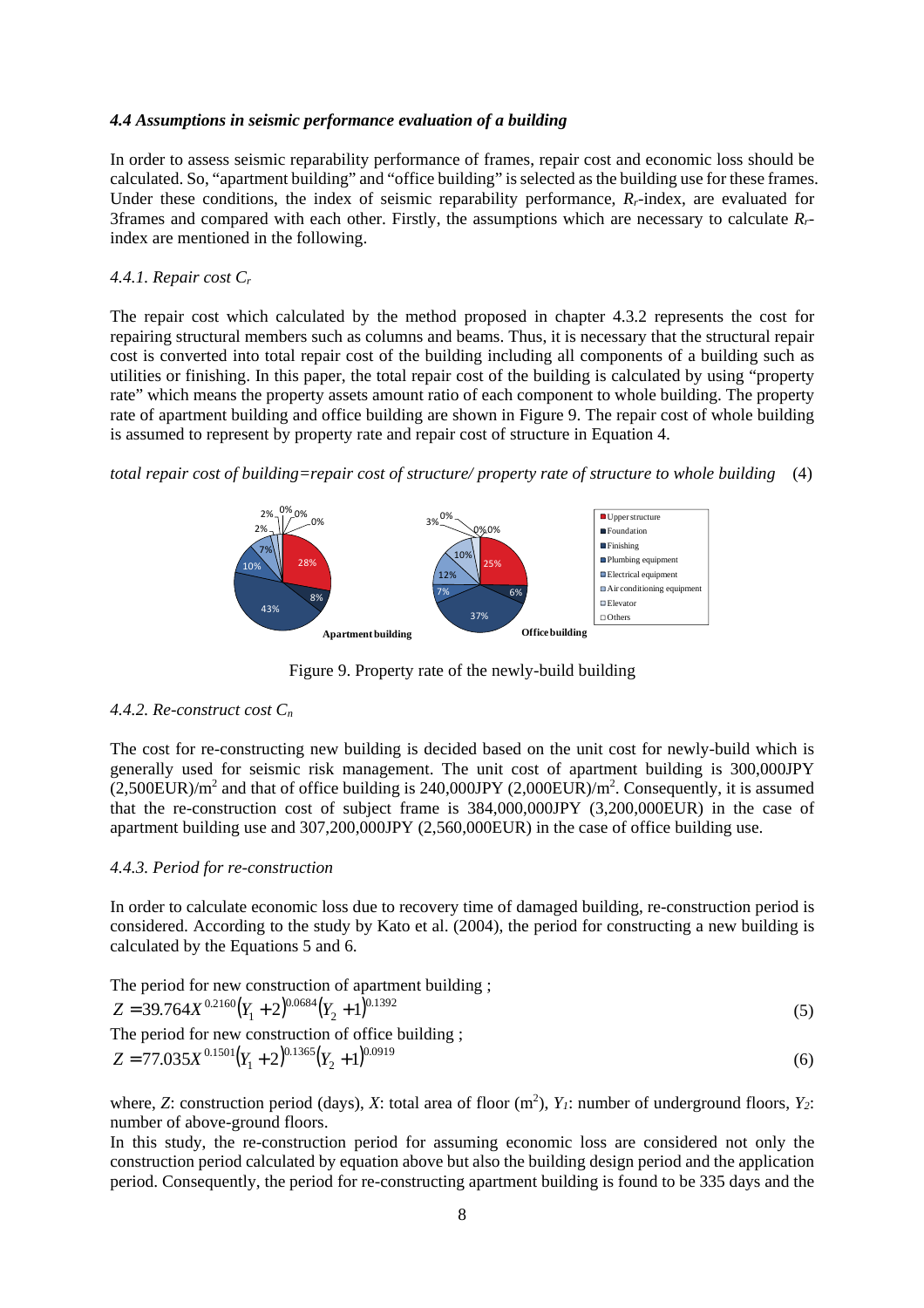### *4.4 Assumptions in seismic performance evaluation of a building*

In order to assess seismic reparability performance of frames, repair cost and economic loss should be calculated. So, "apartment building" and "office building" is selected as the building use for these frames. Under these conditions, the index of seismic reparability performance,  $R_r$ -index, are evaluated for 3frames and compared with each other. Firstly, the assumptions which are necessary to calculate *Rr*index are mentioned in the following.

#### *4.4.1. Repair cost C<sup>r</sup>*

The repair cost which calculated by the method proposed in chapter 4.3.2 represents the cost for repairing structural members such as columns and beams. Thus, it is necessary that the structural repair cost is converted into total repair cost of the building including all components of a building such as utilities or finishing. In this paper, the total repair cost of the building is calculated by using "property rate" which means the property assets amount ratio of each component to whole building. The property rate of apartment building and office building are shown in Figure 9. The repair cost of whole building is assumed to represent by property rate and repair cost of structure in Equation 4.

*total repair cost of building=repair cost of structure/ property rate of structure to whole building* (4)



Figure 9. Property rate of the newly-build building

# *4.4.2. Re-construct cost C<sup>n</sup>*

The cost for re-constructing new building is decided based on the unit cost for newly-build which is generally used for seismic risk management. The unit cost of apartment building is 300,000JPY  $(2,500 \text{EUR})/m^2$  and that of office building is 240,000JPY  $(2,000 \text{EUR})/m^2$ . Consequently, it is assumed that the re-construction cost of subject frame is 384,000,000JPY (3,200,000EUR) in the case of apartment building use and 307,200,000JPY (2,560,000EUR) in the case of office building use.

# *4.4.3. Period for re-construction*

In order to calculate economic loss due to recovery time of damaged building, re-construction period is considered. According to the study by Kato et al. (2004), the period for constructing a new building is calculated by the Equations 5 and 6.

The period for new construction of apartment building ;  
\n
$$
Z = 39.764X^{0.2160}(Y_1 + 2)^{0.0684}(Y_2 + 1)^{0.1392}
$$
\nThe period for new construction of office building ;  
\n
$$
Z = 77.035X^{0.1501}(Y_1 + 2)^{0.1365}(Y_2 + 1)^{0.0919}
$$
\n(6)

where, *Z*: construction period (days), *X*: total area of floor  $(m^2)$ ,  $Y_I$ : number of underground floors,  $Y_2$ : number of above-ground floors.

In this study, the re-construction period for assuming economic loss are considered not only the construction period calculated by equation above but also the building design period and the application period. Consequently, the period for re-constructing apartment building is found to be 335 days and the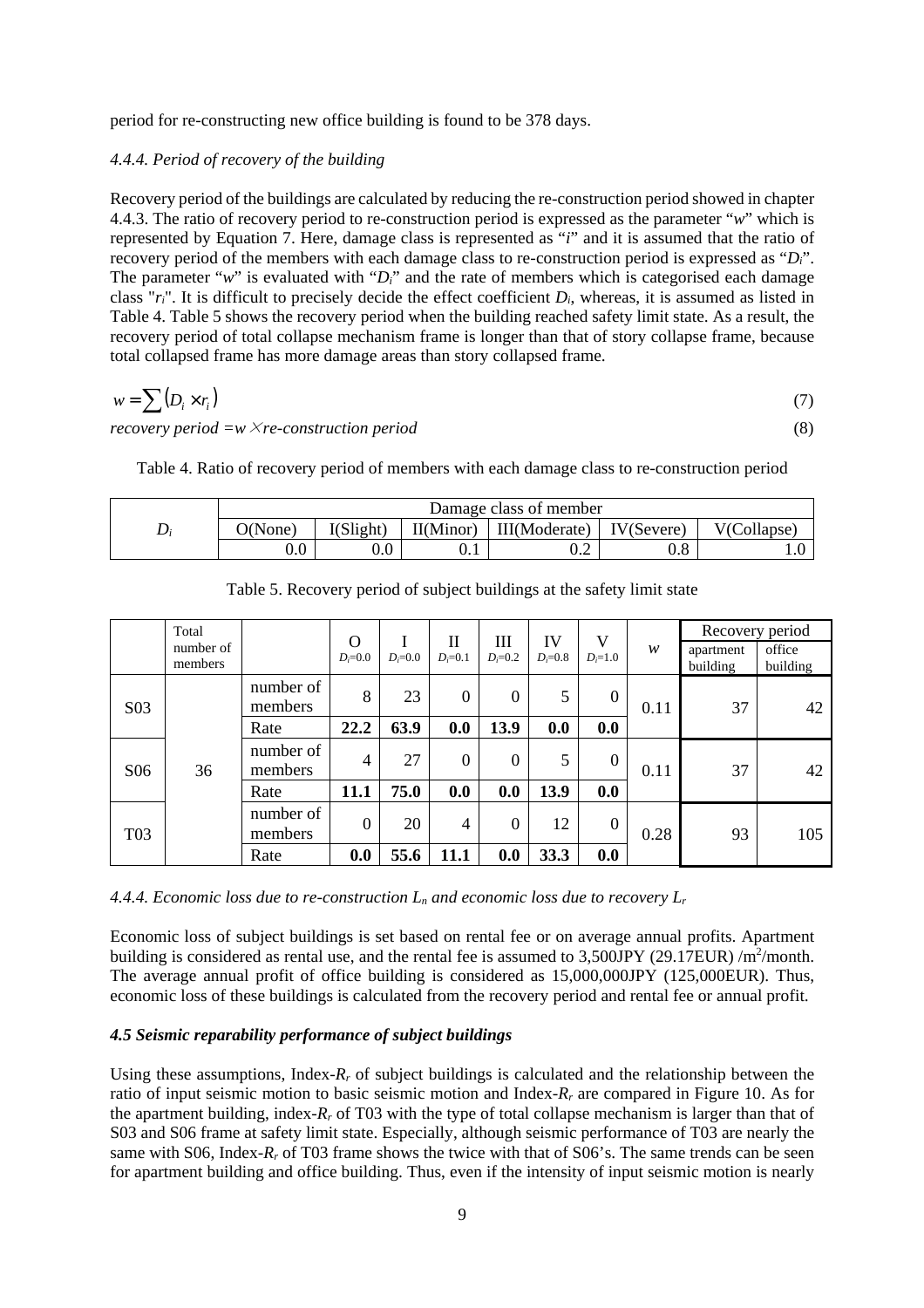period for re-constructing new office building is found to be 378 days.

### *4.4.4. Period of recovery of the building*

Recovery period of the buildings are calculated by reducing the re-construction period showed in chapter 4.4.3. The ratio of recovery period to re-construction period is expressed as the parameter "*w*" which is represented by Equation 7. Here, damage class is represented as "*i*" and it is assumed that the ratio of recovery period of the members with each damage class to re-construction period is expressed as "*Di*". The parameter " $w$ " is evaluated with " $D_i$ " and the rate of members which is categorised each damage class " $r_i$ ". It is difficult to precisely decide the effect coefficient  $D_i$ , whereas, it is assumed as listed in Table 4. Table 5 shows the recovery period when the building reached safety limit state. As a result, the recovery period of total collapse mechanism frame is longer than that of story collapse frame, because total collapsed frame has more damage areas than story collapsed frame.

$$
w = \sum (D_i \times r_i) \tag{7}
$$

*recovery period =w*×*re-construction period* (8)

Table 4. Ratio of recovery period of members with each damage class to re-construction period

| Damage class of member |           |           |               |                       |             |  |  |
|------------------------|-----------|-----------|---------------|-----------------------|-------------|--|--|
| O(None)                | I(Slight) | II(Minor) | III(Moderate) | $\mathbf{V}$ (Severe) | V(Collapse) |  |  |
| $0.0\,$                | $\rm 0.0$ | v. i      | ∪.∠           | u.o                   |             |  |  |

| Total                 |                      |                      | $\Omega$         |                  | $\mathbf{I}$   | Ш                | IV               | V                |                       | Recovery period    |     |
|-----------------------|----------------------|----------------------|------------------|------------------|----------------|------------------|------------------|------------------|-----------------------|--------------------|-----|
| number of<br>members  |                      | $D_i = 0.0$          | $D=0.0$          | $D_i = 0.1$      | $D_i = 0.2$    | $D_i = 0.8$      | $D_i = 1.0$      | w                | apartment<br>building | office<br>building |     |
| S <sub>0</sub> 3      | number of<br>members | 8                    | 23               | $\boldsymbol{0}$ | $\overline{0}$ | 5                | $\boldsymbol{0}$ | 0.11             | 37                    | 42                 |     |
|                       |                      | Rate                 | 22.2             | 63.9             | 0.0            | 13.9             | 0.0              | 0.0              |                       |                    |     |
| 36<br>S <sub>06</sub> |                      | number of<br>members | $\overline{4}$   | 27               | $\theta$       | $\boldsymbol{0}$ | 5                | $\boldsymbol{0}$ | 0.11                  | 37                 | 42  |
|                       | Rate                 | 11.1                 | 75.0             | 0.0              | 0.0            | 13.9             | 0.0              |                  |                       |                    |     |
| <b>T03</b>            |                      | number of<br>members | $\boldsymbol{0}$ | 20               | 4              | $\mathbf{0}$     | 12               | $\boldsymbol{0}$ | 0.28                  | 93                 | 105 |
|                       |                      | Rate                 | 0.0              | 55.6             | 11.1           | 0.0              | 33.3             | 0.0              |                       |                    |     |

Table 5. Recovery period of subject buildings at the safety limit state

*4.4.4. Economic loss due to re-construction Ln and economic loss due to recovery L<sup>r</sup>*

Economic loss of subject buildings is set based on rental fee or on average annual profits. Apartment building is considered as rental use, and the rental fee is assumed to  $3,500$ JPY (29.17EUR) /m<sup>2</sup>/month. The average annual profit of office building is considered as 15,000,000JPY (125,000EUR). Thus, economic loss of these buildings is calculated from the recovery period and rental fee or annual profit.

# *4.5 Seismic reparability performance of subject buildings*

Using these assumptions, Index- $R_r$  of subject buildings is calculated and the relationship between the ratio of input seismic motion to basic seismic motion and Index-*Rr* are compared in Figure 10. As for the apartment building, index- $R_r$  of T03 with the type of total collapse mechanism is larger than that of S03 and S06 frame at safety limit state. Especially, although seismic performance of T03 are nearly the same with S06, Index-*R<sub>r</sub>* of T03 frame shows the twice with that of S06's. The same trends can be seen for apartment building and office building. Thus, even if the intensity of input seismic motion is nearly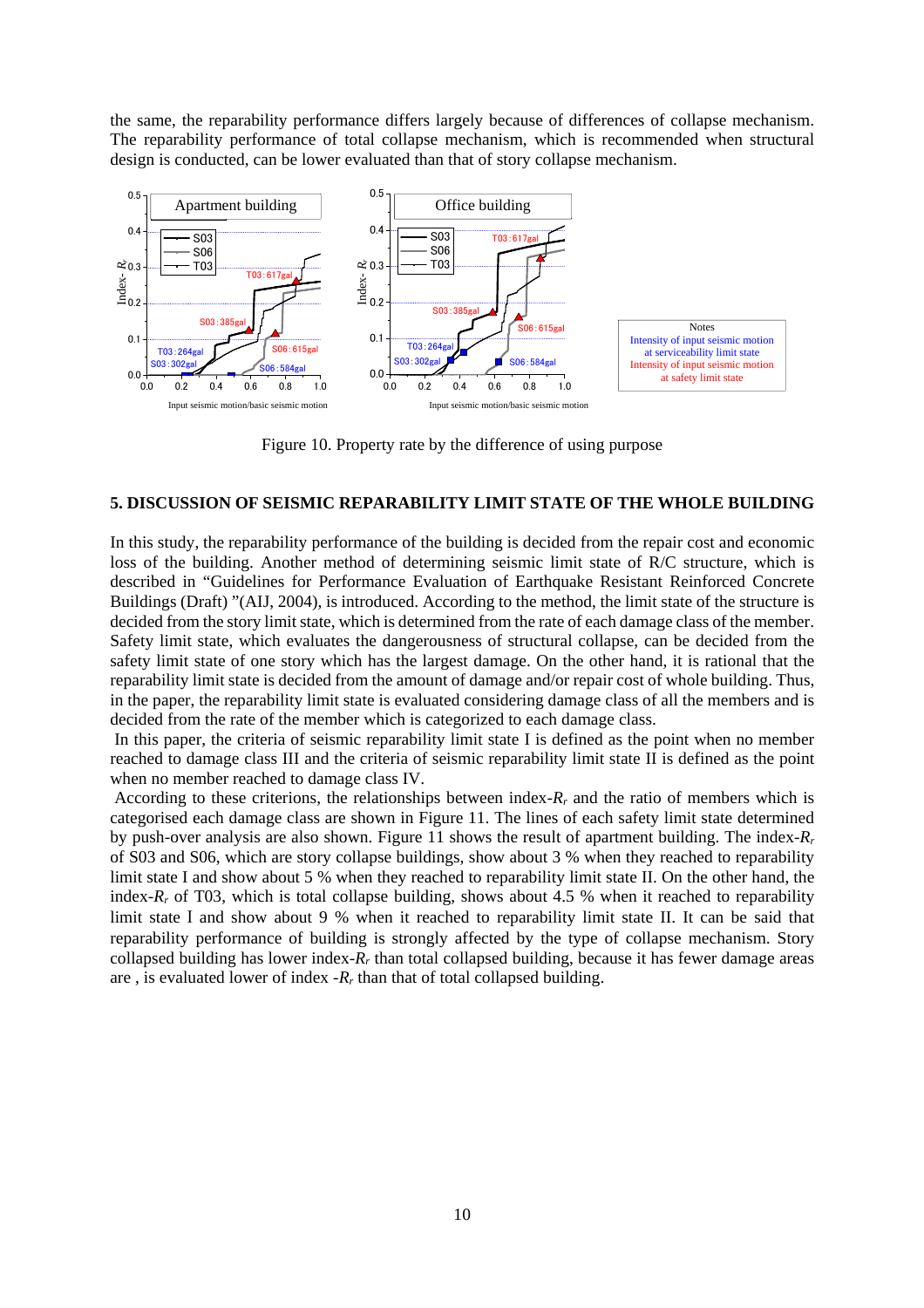the same, the reparability performance differs largely because of differences of collapse mechanism. The reparability performance of total collapse mechanism, which is recommended when structural design is conducted, can be lower evaluated than that of story collapse mechanism.



Figure 10. Property rate by the difference of using purpose

# **5. DISCUSSION OF SEISMIC REPARABILITY LIMIT STATE OF THE WHOLE BUILDING**

In this study, the reparability performance of the building is decided from the repair cost and economic loss of the building. Another method of determining seismic limit state of R/C structure, which is described in "Guidelines for Performance Evaluation of Earthquake Resistant Reinforced Concrete Buildings (Draft) "(AIJ, 2004), is introduced. According to the method, the limit state of the structure is decided from the story limit state, which is determined from the rate of each damage class of the member. Safety limit state, which evaluates the dangerousness of structural collapse, can be decided from the safety limit state of one story which has the largest damage. On the other hand, it is rational that the reparability limit state is decided from the amount of damage and/or repair cost of whole building. Thus, in the paper, the reparability limit state is evaluated considering damage class of all the members and is decided from the rate of the member which is categorized to each damage class.

 In this paper, the criteria of seismic reparability limit state I is defined as the point when no member reached to damage class III and the criteria of seismic reparability limit state II is defined as the point when no member reached to damage class IV.

According to these criterions, the relationships between index- $R_r$  and the ratio of members which is categorised each damage class are shown in Figure 11. The lines of each safety limit state determined by push-over analysis are also shown. Figure 11 shows the result of apartment building. The index-*R<sup>r</sup>* of S03 and S06, which are story collapse buildings, show about 3 % when they reached to reparability limit state I and show about 5 % when they reached to reparability limit state II. On the other hand, the index- $R_r$  of T03, which is total collapse building, shows about 4.5 % when it reached to reparability limit state I and show about 9 % when it reached to reparability limit state II. It can be said that reparability performance of building is strongly affected by the type of collapse mechanism. Story collapsed building has lower index-*Rr* than total collapsed building, because it has fewer damage areas are , is evaluated lower of index -*Rr* than that of total collapsed building.